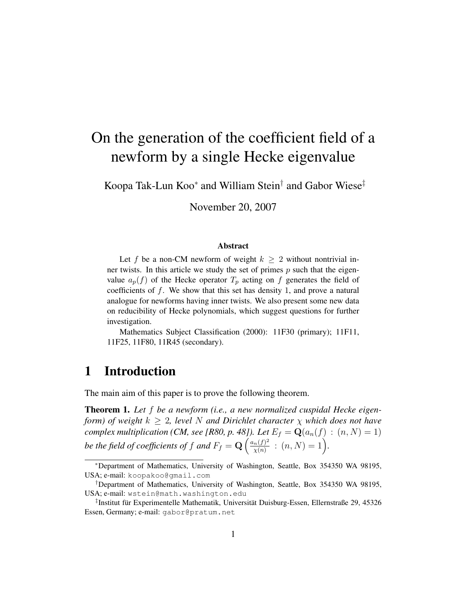# On the generation of the coefficient field of a newform by a single Hecke eigenvalue

Koopa Tak-Lun Koo\* and William Stein<sup>†</sup> and Gabor Wiese<sup>‡</sup>

November 20, 2007

#### Abstract

Let f be a non-CM newform of weight  $k \geq 2$  without nontrivial inner twists. In this article we study the set of primes  $p$  such that the eigenvalue  $a_p(f)$  of the Hecke operator  $T_p$  acting on f generates the field of coefficients of  $f$ . We show that this set has density 1, and prove a natural analogue for newforms having inner twists. We also present some new data on reducibility of Hecke polynomials, which suggest questions for further investigation.

Mathematics Subject Classification (2000): 11F30 (primary); 11F11, 11F25, 11F80, 11R45 (secondary).

# 1 Introduction

The main aim of this paper is to prove the following theorem.

Theorem 1. *Let* f *be a newform (i.e., a new normalized cuspidal Hecke eigenform)* of weight  $k > 2$ , level N and Dirichlet character  $\chi$  which does not have *complex multiplication (CM, see [R80, p. 48]). Let*  $E_f = \mathbf{Q}(a_n(f) : (n, N) = 1)$ be the field of coefficients of f and  $F_f = \mathbf{Q} \left( \frac{a_n(f)^2}{\sqrt{n}} \right)$  $\frac{n(f)^2}{\chi(n)}$  :  $(n, N) = 1$ .

<sup>∗</sup>Department of Mathematics, University of Washington, Seattle, Box 354350 WA 98195, USA; e-mail: koopakoo@gmail.com

<sup>†</sup>Department of Mathematics, University of Washington, Seattle, Box 354350 WA 98195, USA; e-mail: wstein@math.washington.edu

<sup>&</sup>lt;sup>‡</sup>Institut für Experimentelle Mathematik, Universität Duisburg-Essen, Ellernstraße 29, 45326 Essen, Germany; e-mail: gabor@pratum.net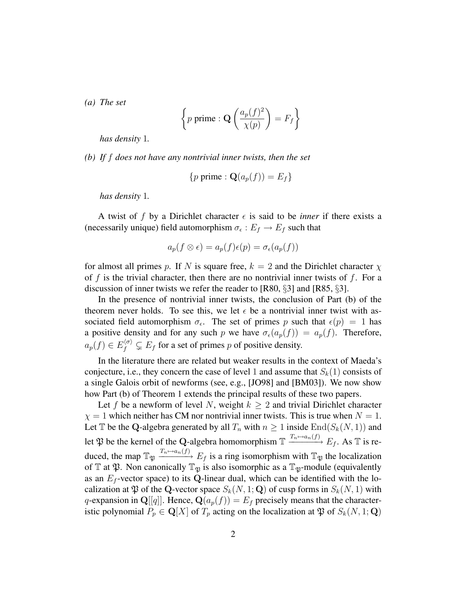*(a) The set*

$$
\left\{p \text{ prime}: \mathbf{Q}\left(\frac{a_p(f)^2}{\chi(p)}\right) = F_f\right\}
$$

*has density* 1*.*

*(b) If* f *does not have any nontrivial inner twists, then the set*

$$
\{p \text{ prime}: \mathbf{Q}(a_p(f)) = E_f\}
$$

*has density* 1*.*

A twist of f by a Dirichlet character  $\epsilon$  is said to be *inner* if there exists a (necessarily unique) field automorphism  $\sigma_{\epsilon}: E_f \to E_f$  such that

$$
a_p(f \otimes \epsilon) = a_p(f)\epsilon(p) = \sigma_{\epsilon}(a_p(f))
$$

for almost all primes p. If N is square free,  $k = 2$  and the Dirichlet character  $\chi$ of f is the trivial character, then there are no nontrivial inner twists of f. For a discussion of inner twists we refer the reader to [R80, §3] and [R85, §3].

In the presence of nontrivial inner twists, the conclusion of Part (b) of the theorem never holds. To see this, we let  $\epsilon$  be a nontrivial inner twist with associated field automorphism  $\sigma_{\epsilon}$ . The set of primes p such that  $\epsilon(p) = 1$  has a positive density and for any such p we have  $\sigma_{\epsilon}(a_p(f)) = a_p(f)$ . Therefore,  $a_p(f) \in E_f^{(\sigma)} \subsetneq E_f$  for a set of primes p of positive density.

In the literature there are related but weaker results in the context of Maeda's conjecture, i.e., they concern the case of level 1 and assume that  $S_k(1)$  consists of a single Galois orbit of newforms (see, e.g., [JO98] and [BM03]). We now show how Part (b) of Theorem 1 extends the principal results of these two papers.

Let f be a newform of level N, weight  $k > 2$  and trivial Dirichlet character  $\chi = 1$  which neither has CM nor nontrivial inner twists. This is true when  $N = 1$ . Let T be the Q-algebra generated by all  $T_n$  with  $n \geq 1$  inside  $\text{End}(S_k(N, 1))$  and let  $\mathfrak P$  be the kernel of the Q-algebra homomorphism  $\mathbb T \xrightarrow{T_n \mapsto a_n(f)} E_f$ . As  $\mathbb T$  is reduced, the map  $\mathbb{T}_{\mathfrak{P}} \xrightarrow{T_n \mapsto a_n(f)} E_f$  is a ring isomorphism with  $\mathbb{T}_{\mathfrak{P}}$  the localization of  $\mathbb T$  at  $\mathfrak P$ . Non canonically  $\mathbb T_{\mathfrak P}$  is also isomorphic as a  $\mathbb T_{\mathfrak P}$ -module (equivalently as an  $E_f$ -vector space) to its Q-linear dual, which can be identified with the localization at  $\mathfrak P$  of the Q-vector space  $S_k(N, 1; \mathbf Q)$  of cusp forms in  $S_k(N, 1)$  with q-expansion in Q[[q]]. Hence,  $\mathbf{Q}(a_p(f)) = E_f$  precisely means that the characteristic polynomial  $P_p \in \mathbf{Q}[X]$  of  $T_p$  acting on the localization at  $\mathfrak{P}$  of  $S_k(N, 1; \mathbf{Q})$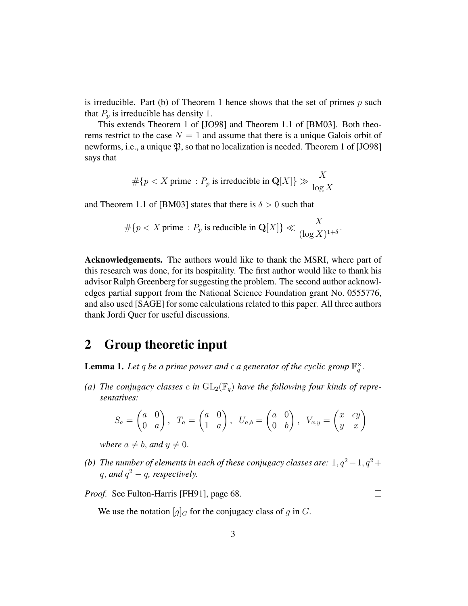is irreducible. Part (b) of Theorem 1 hence shows that the set of primes  $p$  such that  $P_p$  is irreducible has density 1.

This extends Theorem 1 of [JO98] and Theorem 1.1 of [BM03]. Both theorems restrict to the case  $N = 1$  and assume that there is a unique Galois orbit of newforms, i.e., a unique  $\mathfrak{P}$ , so that no localization is needed. Theorem 1 of [JO98] says that

$$
\#\{p < X \text{ prime}: P_p \text{ is irreducible in } \mathbf{Q}[X]\} \gg \frac{X}{\log X}
$$

and Theorem 1.1 of [BM03] states that there is  $\delta > 0$  such that

$$
\#\{p < X \text{ prime}: P_p \text{ is reducible in } \mathbf{Q}[X]\} \ll \frac{X}{(\log X)^{1+\delta}}.
$$

Acknowledgements. The authors would like to thank the MSRI, where part of this research was done, for its hospitality. The first author would like to thank his advisor Ralph Greenberg for suggesting the problem. The second author acknowledges partial support from the National Science Foundation grant No. 0555776, and also used [SAGE] for some calculations related to this paper. All three authors thank Jordi Quer for useful discussions.

### 2 Group theoretic input

**Lemma 1.** Let q be a prime power and  $\epsilon$  a generator of the cyclic group  $\mathbb{F}_q^{\times}$ .

(a) The conjugacy classes c in  $GL_2(\mathbb{F}_q)$  have the following four kinds of repre*sentatives:*

$$
S_a = \begin{pmatrix} a & 0 \\ 0 & a \end{pmatrix}, T_a = \begin{pmatrix} a & 0 \\ 1 & a \end{pmatrix}, U_{a,b} = \begin{pmatrix} a & 0 \\ 0 & b \end{pmatrix}, V_{x,y} = \begin{pmatrix} x & \epsilon y \\ y & x \end{pmatrix}
$$

*where*  $a \neq b$ *, and*  $y \neq 0$ *.* 

*(b) The number of elements in each of these conjugacy classes are:*  $1, q^2 - 1, q^2 + 1$  $q$ , and  $q^2 - q$ , respectively.

*Proof.* See Fulton-Harris [FH91], page 68.

 $\Box$ 

We use the notation  $[g]_G$  for the conjugacy class of g in G.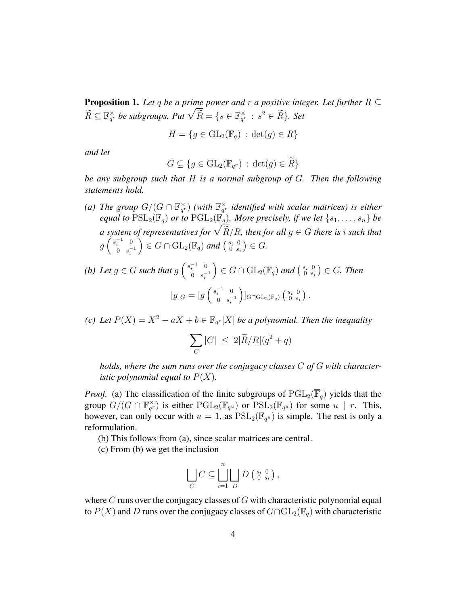**Proposition 1.** Let q be a prime power and r a positive integer. Let further  $R \subseteq$  $\widetilde{R} \subseteq \mathbb{F}_{q^r}^{\times}$  be subgroups. Put  $\sqrt{\widetilde{R}} = \{s \in \mathbb{F}_{q^r}^{\times} : s^2 \in \widetilde{R}\}$ . Set

$$
H = \{ g \in \mathrm{GL}_2(\mathbb{F}_q) \, : \, \det(g) \in R \}
$$

*and let*

$$
G \subseteq \{ g \in \mathrm{GL}_2(\mathbb{F}_{q^r}) \, : \, \det(g) \in \widetilde{R} \}
$$

*be any subgroup such that* H *is a normal subgroup of* G*. Then the following statements hold.*

- (a) The group  $G/(G \cap \mathbb{F}_{q^r}^{\times})$  (with  $\mathbb{F}_{q^r}^{\times}$  identified with scalar matrices) is either *equal to*  $PSL_2(\mathbb{F}_q)$  *or to*  $PGL_2(\mathbb{F}_q)$ *. More precisely, if we let*  $\{s_1, \ldots, s_n\}$  *be a* system of representatives for  $\sqrt{\frac{R}{R}}$ , then for all  $g \in G$  there is i such that  $g\left(\begin{array}{cc} s_i^{-1} & 0 \\ 0 & -1 \end{array}\right)$ 0  $s_i^{-1}$  $\Big) \in G \cap \mathrm{GL}_2(\mathbb{F}_q)$  and  $\Big( \begin{smallmatrix} s_i & 0 \\ 0 & s_i \end{smallmatrix} \Big)$  $\binom{s_i}{0}$ ,  $\binom{0}{s_i}$   $\in G$ .
- (b) Let  $g \in G$  such that  $g\left(\begin{array}{cc} s_i^{-1} & 0 \\ 0 & s_i^{-1} \end{array}\right)$ 0  $s_i^{-1}$  $\Big) \in G \cap \mathrm{GL}_2(\mathbb{F}_q)$  and  $\Big( \begin{smallmatrix} s_i & 0 \\ 0 & s_i \end{smallmatrix} \Big)$  $\left(\begin{smallmatrix} s_i & 0 \ 0 & s_i \end{smallmatrix}\right) \in G.$  Then  $[g]_G = [g\left(\begin{array}{cc} s_i^{-1} & 0 \\ 0 & s^{-1} \end{array}\right)]$ 0  $s_i^{-1}$  $\big)$ ]<sub>G∩GL2</sub>( $\mathbb{F}_q$ )  $\left( \begin{smallmatrix} s_i & 0 \\ 0 & s_i \end{smallmatrix} \right)$  $\begin{smallmatrix} s_i & 0 \ 0 & s_i \end{smallmatrix}$ .
- *(c)* Let  $P(X) = X^2 aX + b \in \mathbb{F}_{q^r}[X]$  *be a polynomial. Then the inequality*

$$
\sum_C |C| \le 2|\widetilde{R}/R|(q^2+q)
$$

*holds, where the sum runs over the conjugacy classes* C *of* G *with characteristic polynomial equal to*  $P(X)$ *.* 

*Proof.* (a) The classification of the finite subgroups of  $\text{PGL}_2(\overline{\mathbb{F}}_q)$  yields that the group  $G/(G \cap \mathbb{F}_{q^r}^{\times})$  is either  $\mathrm{PGL}_2(\mathbb{F}_{q^u})$  or  $\mathrm{PSL}_2(\mathbb{F}_{q^u})$  for some  $u \mid r$ . This, however, can only occur with  $u = 1$ , as  $PSL_2(\mathbb{F}_{q^u})$  is simple. The rest is only a reformulation.

- (b) This follows from (a), since scalar matrices are central.
- (c) From (b) we get the inclusion

$$
\bigcup_C C \subseteq \bigsqcup_{i=1}^n D\left(\begin{smallmatrix} s_i & 0 \\ 0 & s_i \end{smallmatrix}\right),
$$

where  $C$  runs over the conjugacy classes of  $G$  with characteristic polynomial equal to  $P(X)$  and D runs over the conjugacy classes of  $G \cap GL_2(\mathbb{F}_q)$  with characteristic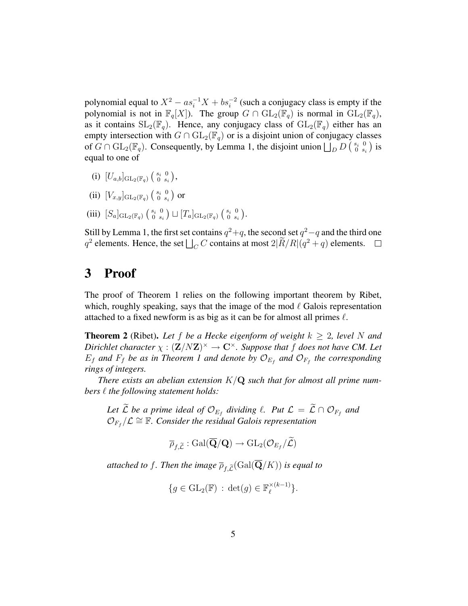polynomial equal to  $X^2 - as_i^{-1}X + bs_i^{-2}$  (such a conjugacy class is empty if the polynomial is not in  $\mathbb{F}_q[X]$ ). The group  $G \cap GL_2(\mathbb{F}_q)$  is normal in  $GL_2(\mathbb{F}_q)$ , as it contains  $SL_2(\mathbb{F}_q)$ . Hence, any conjugacy class of  $GL_2(\mathbb{F}_q)$  either has an empty intersection with  $G \cap GL_2(\mathbb{F}_q)$  or is a disjoint union of conjugacy classes of  $G \cap GL_2(\mathbb{F}_q)$ . Consequently, by Lemma 1, the disjoint union  $\bigcup_{D} D$   $\left(\begin{array}{cc} s_i & 0 \\ 0 & s_i \end{array}\right)$  $\begin{smallmatrix} s_i & 0 \ 0 & s_i \end{smallmatrix}$  is equal to one of

- (i)  $[U_{a,b}]_{\mathrm{GL}_2(\mathbb{F}_q)}\left(\begin{smallmatrix} s_i & 0 \ 0 & s_i \end{smallmatrix}\right)$  $_{0\;\;s_{i}}^{s_{i}\;\;0}\left) ,$
- (ii)  $[V_{x,y}]_{\mathrm{GL}_2(\mathbb{F}_q)}\left(\begin{smallmatrix} s_i & 0 \ 0 & s_i \end{smallmatrix}\right)$  $\begin{smallmatrix} s_i & 0 \ 0 & s_i \end{smallmatrix}$  or
- (iii)  $[S_a]_{\mathrm{GL}_2(\mathbb{F}_q)}\left(\begin{smallmatrix} s_i & 0 \\ 0 & s_i \end{smallmatrix}\right)$  $\left[ \begin{smallmatrix} s_i & 0 \ 0 & s_i \end{smallmatrix} \right]\sqcup \left[ T_a \right]_{\mathrm{GL}_2(\mathbb{F}_q)}\left( \begin{smallmatrix} s_i & 0 \ 0 & s_i \end{smallmatrix} \right)$  $_{0\;\;s_{i}}^{s_{i}\;\;0}\,\big).$

Still by Lemma 1, the first set contains  $q^2+q$ , the second set  $q^2-q$  and the third one  $q^2$  elements. Hence, the set  $\bigsqcup_C C$  contains at most  $2|\tilde{R}/R|(q^2+q)$  elements.

### 3 Proof

The proof of Theorem 1 relies on the following important theorem by Ribet, which, roughly speaking, says that the image of the mod  $\ell$  Galois representation attached to a fixed newform is as big as it can be for almost all primes  $\ell$ .

**Theorem 2** (Ribet). Let f be a Hecke eigenform of weight  $k \geq 2$ , level N and *Dirichlet character*  $\chi : (\mathbf{Z}/N\mathbf{Z})^{\times} \to \mathbf{C}^{\times}$ *. Suppose that* f *does not have CM. Let*  $E_f$  and  $F_f$  be as in Theorem 1 and denote by  $\mathcal{O}_{E_f}$  and  $\mathcal{O}_{F_f}$  the corresponding *rings of integers.*

*There exists an abelian extension* K/Q *such that for almost all prime numbers*  $\ell$  *the following statement holds:* 

Let *L* be a prime ideal of  $\mathcal{O}_{E_f}$  dividing  $\ell$ . Put  $\mathcal{L} = \mathcal{L} \cap \mathcal{O}_{F_f}$  and  $\mathcal{O}_{F_f}/\mathcal{L} \cong \mathbb{F}$ . Consider the residual Galois representation

$$
\overline{\rho}_{f,\widetilde{\mathcal{L}}}:\operatorname{Gal}(\overline{\mathbf{Q}}/\mathbf{Q})\rightarrow \operatorname{GL}_2(\mathcal{O}_{E_f}/\widetilde{\mathcal{L}})
$$

*attached to f. Then the image*  $\overline{\rho}_{f,\widetilde{L}}(\text{Gal}(\overline{\mathbf{Q}}/K))$  *is equal to* 

$$
\{g \in \mathrm{GL}_2(\mathbb{F}) \, : \, \det(g) \in \mathbb{F}_\ell^{\times (k-1)}\}.
$$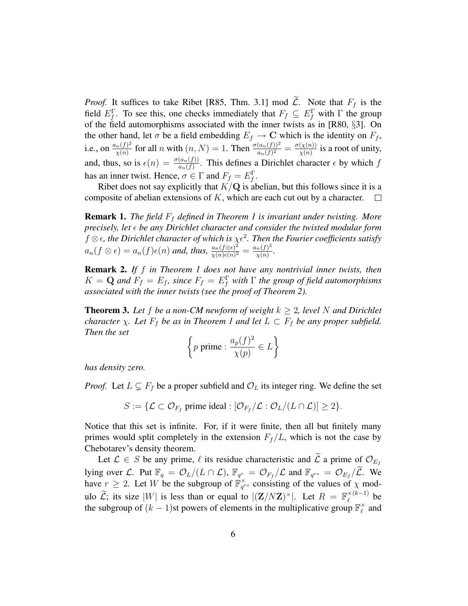*Proof.* It suffices to take Ribet [R85, Thm. 3.1] mod  $\tilde{\mathcal{L}}$ . Note that  $F_f$  is the field  $E_f^{\Gamma}$ . To see this, one checks immediately that  $F_f \subseteq E_f^{\Gamma}$  with  $\Gamma$  the group of the field automorphisms associated with the inner twists as in [R80, §3]. On the other hand, let  $\sigma$  be a field embedding  $E_f \to \mathbf{C}$  which is the identity on  $F_f$ , i.e., on  $\frac{a_n(f)^2}{\gamma(n)}$  $\frac{n(f)^2}{\chi(n)}$  for all n with  $(n, N) = 1$ . Then  $\frac{\sigma(a_n(f))^2}{a_n(f)^2} = \frac{\sigma(\chi(n))}{\chi(n)}$  $\frac{(X^{(n)})}{X^{(n)}}$  is a root of unity, and, thus, so is  $\epsilon(n) = \frac{\sigma(a_n(f))}{a_n(f)}$ . This defines a Dirichlet character  $\epsilon$  by which f has an inner twist. Hence,  $\sigma \in \Gamma$  and  $F_f = E_f^{\Gamma}$ .

Ribet does not say explicitly that  $K/Q$  is abelian, but this follows since it is a composite of abelian extensions of K, which are each cut out by a character.  $\Box$ 

**Remark 1.** *The field*  $F_f$  *defined in Theorem 1 is invariant under twisting. More precisely, let be any Dirichlet character and consider the twisted modular form*  $f \otimes \epsilon$ , the Dirichlet character of which is  $\chi \epsilon^2$ . Then the Fourier coefficients satisfy  $a_n(f \otimes \epsilon) = a_n(f)\epsilon(n)$  and, thus,  $\frac{a_n(f \otimes \epsilon)^2}{\sqrt{(n)\epsilon(n)^2}}$  $\frac{a_n(f\otimes\epsilon)^2}{\chi(n)\epsilon(n)^2} = \frac{a_n(f)^2}{\chi(n)}$  $\frac{n(f)^2}{\chi(n)}$ .

Remark 2. *If* f *in Theorem 1 does not have any nontrivial inner twists, then*  $K = \mathbf{Q}$  and  $F_f = E_f$ , since  $F_f = E_f^{\Gamma}$  with  $\Gamma$  the group of field automorphisms *associated with the inner twists (see the proof of Theorem 2).*

**Theorem 3.** Let f be a non-CM newform of weight  $k \geq 2$ , level N and Dirichlet *character*  $\chi$ *. Let*  $F_f$  *be as in Theorem 1 and let*  $L \subset F_f$  *be any proper subfield. Then the set*

$$
\left\{ p \text{ prime}: \frac{a_p(f)^2}{\chi(p)} \in L \right\}
$$

*has density zero.*

*Proof.* Let  $L \subsetneq F_f$  be a proper subfield and  $\mathcal{O}_L$  its integer ring. We define the set

$$
S := \{ \mathcal{L} \subset \mathcal{O}_{F_f} \text{ prime ideal} : [\mathcal{O}_{F_f} / \mathcal{L} : \mathcal{O}_L / (L \cap \mathcal{L})] \geq 2 \}.
$$

Notice that this set is infinite. For, if it were finite, then all but finitely many primes would split completely in the extension  $F_f/L$ , which is not the case by Chebotarev's density theorem.

Let  $\mathcal{L} \in S$  be any prime,  $\ell$  its residue characteristic and  $\tilde{\mathcal{L}}$  a prime of  $\mathcal{O}_{E_f}$ lying over L. Put  $\mathbb{F}_q = \mathcal{O}_L/(L \cap \mathcal{L})$ ,  $\mathbb{F}_{q^r} = \mathcal{O}_{F_f}/\mathcal{L}$  and  $\mathbb{F}_{q^{rs}} = \mathcal{O}_{E_f}/\widetilde{\mathcal{L}}$ . We have  $r \geq 2$ . Let W be the subgroup of  $\mathbb{F}_{q^{rs}}^{\times}$  consisting of the values of  $\chi$  modulo  $\widetilde{\mathcal{L}}$ ; its size  $|W|$  is less than or equal to  $|(\mathbf{Z}/N\mathbf{Z})^{\times}|$ . Let  $R = \mathbb{F}_\ell^{\times (k-1)}$  $\int_{\ell}^{\infty}$  be the subgroup of  $(k-1)$ st powers of elements in the multiplicative group  $\mathbb{F}_\ell^\times$  $_{\ell}^{\times}$  and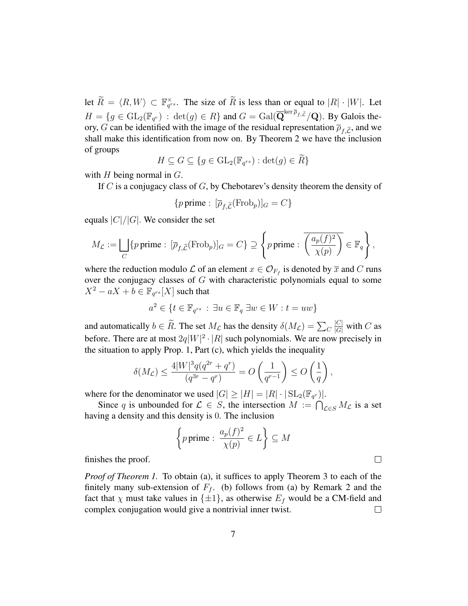let  $\widetilde{R} = \langle R, W \rangle \subset \mathbb{F}_{q^{rs}}^{\times}$ . The size of  $\widetilde{R}$  is less than or equal to  $|R| \cdot |W|$ . Let  $H = \{g \in GL_2(\mathbb{F}_{q^r}) : \det(g) \in R\}$  and  $G = \text{Gal}(\overline{\mathbf{Q}}^{\ker \overline{\rho}_{f, \widetilde{\mathcal{L}}}}/\mathbf{Q})$ . By Galois theory, G can be identified with the image of the residual representation  $\overline{\rho}_{f,\widetilde{L}}$ , and we shall make this identification from now on. By Theorem 2 we have the inclusion of groups

$$
H \subseteq G \subseteq \{ g \in GL_2(\mathbb{F}_{q^{rs}}) : \det(g) \in \widetilde{R} \}
$$

with  $H$  being normal in  $G$ .

If  $C$  is a conjugacy class of  $G$ , by Chebotarev's density theorem the density of

{*p* prime: 
$$
[\overline{\rho}_{f,\widetilde{\mathcal{L}}}(\mathrm{Frob}_p)]_G = C
$$
}

equals  $|C|/|G|$ . We consider the set

$$
M_{\mathcal{L}} := \bigsqcup_C \{p \text{ prime}: \ [\overline{\rho}_{f,\widetilde{\mathcal{L}}}(\mathrm{Frob}_p)]_G = C\} \supseteq \left\{p \text{ prime}: \left(\frac{a_p(f)^2}{\chi(p)}\right) \in \mathbb{F}_q\right\},\
$$

where the reduction modulo  $\mathcal L$  of an element  $x \in \mathcal O_{F_f}$  is denoted by  $\overline x$  and  $C$  runs over the conjugacy classes of G with characteristic polynomials equal to some  $X^2 - aX + b \in \mathbb{F}_{q^{rs}}[X]$  such that

$$
a^2 \in \{ t \in \mathbb{F}_{q^{rs}} : \exists u \in \mathbb{F}_q \; \exists w \in W : t = uw \}
$$

and automatically  $b \in R$ . The set  $M_{\mathcal{L}}$  has the density  $\delta(M_{\mathcal{L}}) = \sum_{C}$  $\frac{|C|}{|G|}$  with  $C$  as before. There are at most  $2q|W|^2 \cdot |R|$  such polynomials. We are now precisely in the situation to apply Prop. 1, Part (c), which yields the inequality

$$
\delta(M_{\mathcal{L}}) \le \frac{4|W|^3 q(q^{2r} + q^r)}{(q^{3r} - q^r)} = O\left(\frac{1}{q^{r-1}}\right) \le O\left(\frac{1}{q}\right),
$$

where for the denominator we used  $|G| \geq |H| = |R| \cdot |\operatorname{SL}_2(\mathbb{F}_{q^r})|$ .

Since q is unbounded for  $\mathcal{L} \in S$ , the intersection  $M := \bigcap_{\mathcal{L} \in S} M_{\mathcal{L}}$  is a set having a density and this density is 0. The inclusion

{p prime: 
$$
\frac{a_p(f)^2}{\chi(p)} \in L
$$
}  $\subseteq M$ 

finishes the proof.

*Proof of Theorem 1.* To obtain (a), it suffices to apply Theorem 3 to each of the finitely many sub-extension of  $F_f$ . (b) follows from (a) by Remark 2 and the fact that  $\chi$  must take values in  $\{\pm 1\}$ , as otherwise  $E_f$  would be a CM-field and complex conjugation would give a nontrivial inner twist.  $\Box$ 

 $\Box$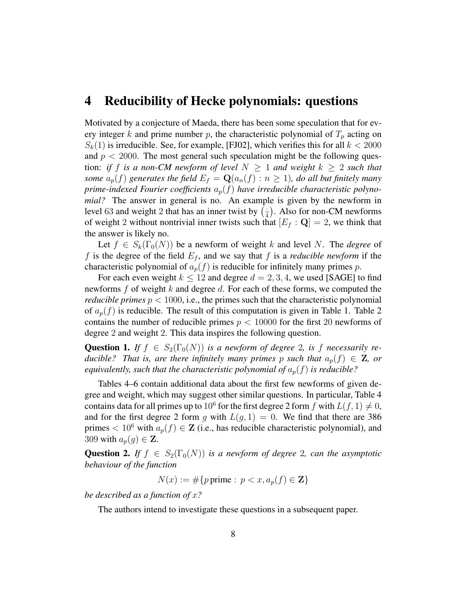#### 4 Reducibility of Hecke polynomials: questions

Motivated by a conjecture of Maeda, there has been some speculation that for every integer k and prime number p, the characteristic polynomial of  $T_p$  acting on  $S_k(1)$  is irreducible. See, for example, [FJ02], which verifies this for all  $k < 2000$ and  $p < 2000$ . The most general such speculation might be the following question: *if* f *is a non-CM newform of level*  $N \geq 1$  *and weight*  $k \geq 2$  *such that some*  $a_p(f)$  generates the field  $E_f = \mathbf{Q}(a_n(f) : n \ge 1)$ , do all but finitely many prime-indexed Fourier coefficients  $a_p(f)$  have irreducible characteristic polyno*mial?* The answer in general is no. An example is given by the newform in level 63 and weight 2 that has an inner twist by  $\left(\frac{1}{4}\right)$  $\frac{1}{4}$ ). Also for non-CM newforms of weight 2 without nontrivial inner twists such that  $[E_f : \mathbf{Q}] = 2$ , we think that the answer is likely no.

Let  $f \in S_k(\Gamma_0(N))$  be a newform of weight k and level N. The *degree* of f is the degree of the field  $E_f$ , and we say that f is a *reducible newform* if the characteristic polynomial of  $a_p(f)$  is reducible for infinitely many primes p.

For each even weight  $k \le 12$  and degree  $d = 2, 3, 4$ , we used [SAGE] to find newforms f of weight k and degree d. For each of these forms, we computed the *reducible primes*  $p < 1000$ , i.e., the primes such that the characteristic polynomial of  $a_p(f)$  is reducible. The result of this computation is given in Table 1. Table 2 contains the number of reducible primes  $p < 10000$  for the first 20 newforms of degree 2 and weight 2. This data inspires the following question.

**Question 1.** *If*  $f \in S_2(\Gamma_0(N))$  *is a newform of degree* 2*, is* f *necessarily reducible?* That is, are there infinitely many primes p such that  $a_p(f) \in \mathbb{Z}$ , or *equivalently, such that the characteristic polynomial of*  $a_p(f)$  *is reducible?* 

Tables 4–6 contain additional data about the first few newforms of given degree and weight, which may suggest other similar questions. In particular, Table 4 contains data for all primes up to 10<sup>6</sup> for the first degree 2 form f with  $L(f, 1) \neq 0$ , and for the first degree 2 form g with  $L(g, 1) = 0$ . We find that there are 386 primes  $< 10^6$  with  $a_p(f) \in \mathbb{Z}$  (i.e., has reducible characteristic polynomial), and 309 with  $a_p(g) \in \mathbf{Z}$ .

**Question 2.** *If*  $f \in S_2(\Gamma_0(N))$  *is a newform of degree* 2*, can the asymptotic behaviour of the function*

$$
N(x) := \#\{p \text{ prime} : p < x, a_p(f) \in \mathbf{Z}\}
$$

*be described as a function of* x*?*

The authors intend to investigate these questions in a subsequent paper.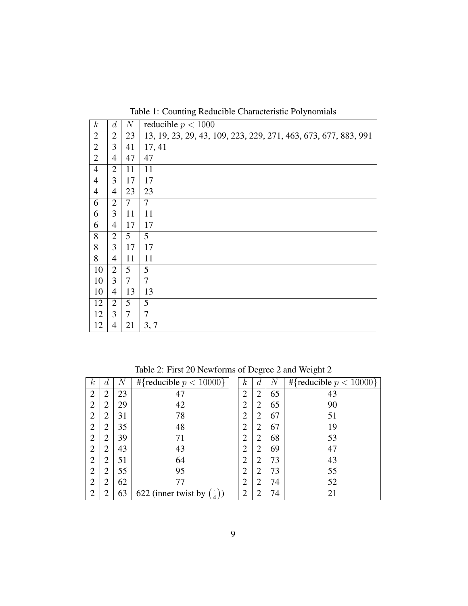| $\boldsymbol{k}$ | d              | N               | reducible $p < 1000$                                            |
|------------------|----------------|-----------------|-----------------------------------------------------------------|
| $\overline{2}$   | $\overline{2}$ | 23              | 13, 19, 23, 29, 43, 109, 223, 229, 271, 463, 673, 677, 883, 991 |
| $\overline{2}$   | 3              | 41              | 17, 41                                                          |
| $\overline{2}$   | 4              | 47              | 47                                                              |
| $\overline{4}$   | $\overline{2}$ | 11              | 11                                                              |
| 4                | 3              | 17              | 17                                                              |
| 4                | 4              | 23              | 23                                                              |
| 6                | $\overline{2}$ | 7               | $\overline{7}$                                                  |
| 6                | 3              | 11              | 11                                                              |
| 6                | 4              | 17              | 17                                                              |
| 8                | $\overline{2}$ | 5               | 5                                                               |
| 8                | 3              | 17              | 17                                                              |
| 8                | 4              | 11              | 11                                                              |
| 10               | $\overline{2}$ | $5\overline{)}$ | 5                                                               |
| 10               | $\overline{3}$ | $\tau$          | 7                                                               |
| 10               | 4              | 13              | 13                                                              |
| 12               | $\overline{2}$ | 5               | 5                                                               |
| 12               | $\overline{3}$ | 7               | 7                                                               |
| 12               | 4              | 21              | 3, 7                                                            |

Table 2: First 20 Newforms of Degree 2 and Weight 2

| $\kappa$       | $\overline{d}$ | $\,N$ | #{reducible $p < 10000$ }             | $\kappa$       | $\overline{d}$ | $\boldsymbol{N}$ | #{reducible $p < 10000$ } |
|----------------|----------------|-------|---------------------------------------|----------------|----------------|------------------|---------------------------|
| $\overline{2}$ | $\overline{2}$ | 23    | 47                                    | $\overline{2}$ | $\overline{2}$ | 65               | 43                        |
| $\overline{2}$ | $\overline{2}$ | 29    | 42                                    | $\overline{2}$ | $\overline{2}$ | 65               | 90                        |
| $\overline{2}$ | ◠              | 31    | 78                                    | っ              | $\overline{2}$ | 67               | 51                        |
| $\overline{2}$ | 2              | 35    | 48                                    | $\overline{2}$ | $\overline{2}$ | 67               | 19                        |
| $\overline{2}$ | ∍              | 39    | 71                                    | $\overline{2}$ | $\overline{2}$ | 68               | 53                        |
| $\overline{2}$ | $\overline{2}$ | 43    | 43                                    | ി              | $\overline{2}$ | 69               | 47                        |
| $\overline{2}$ | 2              | 51    | 64                                    | $\overline{2}$ | $\overline{2}$ | 73               | 43                        |
| $\overline{2}$ | $\overline{2}$ | 55    | 95                                    | ി              | $\overline{2}$ | 73               | 55                        |
| $\overline{2}$ | 2              | 62    | 77                                    | $\overline{2}$ | $\overline{2}$ | 74               | 52                        |
| $\overline{2}$ | ◠              | 63    | 622 (inner twist by $(\frac{1}{4})$ ) | ◠              | $\overline{2}$ | 74               | 21                        |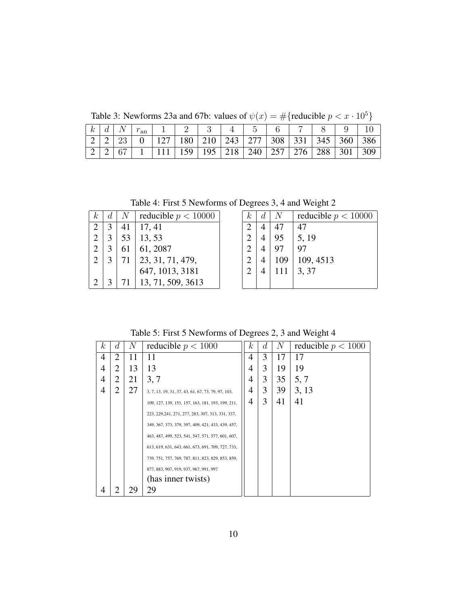Table 3: Newforms 23a and 67b: values of  $\psi(x) = \#\{\text{reducible } p < x \cdot 10^5\}$ 

|  |  | $\mid k \mid d \mid N \mid r_{\text{an}} \mid 1 \mid 2 \mid 3$ |  | $4 \mid 5 \mid 6$                                                                                                                                  |  |  |  |  |
|--|--|----------------------------------------------------------------|--|----------------------------------------------------------------------------------------------------------------------------------------------------|--|--|--|--|
|  |  |                                                                |  | $\mid$ 2 $\mid$ 2 $\mid$ 23 $\mid$ 0 $\mid$ 127 $\mid$ 180 $\mid$ 210 $\mid$ 243 $\mid$ 277 $\mid$ 308 $\mid$ 331 $\mid$ 345 $\mid$ 360 $\mid$ 386 |  |  |  |  |
|  |  |                                                                |  | 2   2   67   1   111   159   195   218   240   257   276   288   301   309                                                                         |  |  |  |  |

Table 4: First 5 Newforms of Degrees 3, 4 and Weight 2

| k.             |   | $N_{\parallel}$ | reducible $p < 10000$            |
|----------------|---|-----------------|----------------------------------|
| $\overline{2}$ |   | 41              | 17, 41                           |
| $\overline{2}$ | 3 | 53              | 13,53                            |
| $\overline{2}$ | 3 | 61              | 61, 2087                         |
| 2              | 3 | 71              | 23, 31, 71, 479, 647, 1013, 3181 |
|                |   |                 |                                  |
|                |   | 71              | 13, 71, 509, 3613                |

| k, | d. |     | reducible $p < 10000$ |
|----|----|-----|-----------------------|
| 2  |    |     | 47                    |
| 2  |    | 95  | 5, 19                 |
| 2  |    | 97  |                       |
| 2  |    | 109 | 109, 4513             |
| 2  |    | 111 | 3, 37                 |
|    |    |     |                       |

Table 5: First 5 Newforms of Degrees 2, 3 and Weight 4

| $\kappa$ | d              | N  | reducible $p < 1000$                               | k <sub>i</sub> | d | N  | reducible $p < 1000$ |
|----------|----------------|----|----------------------------------------------------|----------------|---|----|----------------------|
| 4        | $\overline{2}$ | 11 | 11                                                 | 4              | 3 | 17 | 17                   |
| 4        | 2              | 13 | 13                                                 | 4              | 3 | 19 | 19                   |
| 4        | 2              | 21 | 3, 7                                               | 4              | 3 | 35 | 5, 7                 |
| 4        | 2              | 27 | 3, 7, 13, 19, 31, 37, 43, 61, 67, 73, 79, 97, 103, | 4              | 3 | 39 | 3, 13                |
|          |                |    | 109, 127, 139, 151, 157, 163, 181, 193, 199, 211,  | 4              | 3 | 41 | 41                   |
|          |                |    | 223, 229, 241, 271, 277, 283, 307, 313, 331, 337,  |                |   |    |                      |
|          |                |    | 349, 367, 373, 379, 397, 409, 421, 433, 439, 457,  |                |   |    |                      |
|          |                |    | 463, 487, 499, 523, 541, 547, 571, 577, 601, 607,  |                |   |    |                      |
|          |                |    | 613, 619, 631, 643, 661, 673, 691, 709, 727, 733,  |                |   |    |                      |
|          |                |    | 739, 751, 757, 769, 787, 811, 823, 829, 853, 859,  |                |   |    |                      |
|          |                |    | 877, 883, 907, 919, 937, 967, 991, 997             |                |   |    |                      |
|          |                |    | (has inner twists)                                 |                |   |    |                      |
| 4        | 2              | 29 | 29                                                 |                |   |    |                      |